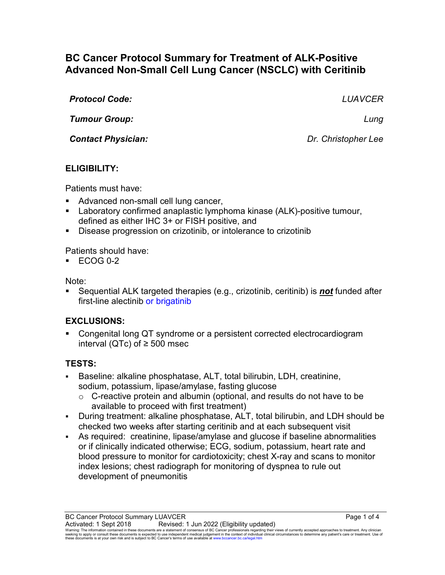# **BC Cancer Protocol Summary for Treatment of ALK-Positive Advanced Non-Small Cell Lung Cancer (NSCLC) with Ceritinib**

*Protocol Code: LUAVCER Tumour Group: Lung*

*Contact Physician: Dr. Christopher Lee*

# **ELIGIBILITY:**

Patients must have:

- Advanced non-small cell lung cancer,
- Laboratory confirmed anaplastic lymphoma kinase (ALK)-positive tumour, defined as either IHC 3+ or FISH positive, and
- Disease progression on crizotinib, or intolerance to crizotinib

Patients should have:

 $\textdegree$  ECOG 0-2

Note:

 Sequential ALK targeted therapies (e.g., crizotinib, ceritinib) is *not* funded after first-line alectinib or brigatinib

# **EXCLUSIONS:**

 Congenital long QT syndrome or a persistent corrected electrocardiogram interval (QTc) of ≥ 500 msec

# **TESTS:**

- Baseline: alkaline phosphatase, ALT, total bilirubin, LDH, creatinine, sodium, potassium, lipase/amylase, fasting glucose
	- $\circ$  C-reactive protein and albumin (optional, and results do not have to be available to proceed with first treatment)
- During treatment: alkaline phosphatase, ALT, total bilirubin, and LDH should be checked two weeks after starting ceritinib and at each subsequent visit
- As required: creatinine, lipase/amylase and glucose if baseline abnormalities or if clinically indicated otherwise; ECG, sodium, potassium, heart rate and blood pressure to monitor for cardiotoxicity; chest X-ray and scans to monitor index lesions; chest radiograph for monitoring of dyspnea to rule out development of pneumonitis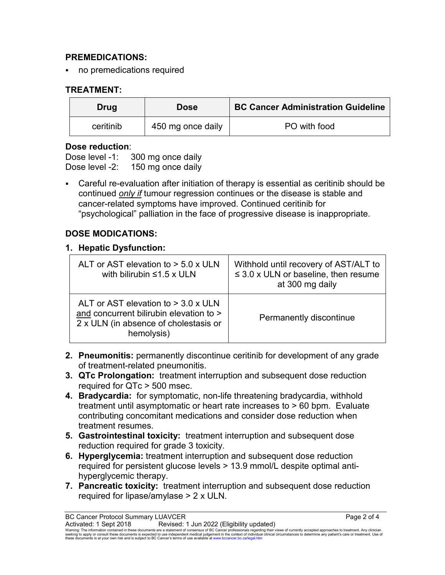### **PREMEDICATIONS:**

no premedications required

## **TREATMENT:**

| Drug      | <b>Dose</b>       | <b>BC Cancer Administration Guideline</b> |
|-----------|-------------------|-------------------------------------------|
| ceritinib | 450 mg once daily | PO with food                              |

#### **Dose reduction**:

Dose level -1: 300 mg once daily Dose level -2: 150 mg once daily

 Careful re-evaluation after initiation of therapy is essential as ceritinib should be continued *only if* tumour regression continues or the disease is stable and cancer-related symptoms have improved. Continued ceritinib for "psychological" palliation in the face of progressive disease is inappropriate.

## **DOSE MODICATIONS:**

#### **1. Hepatic Dysfunction:**

| ALT or AST elevation to $>$ 5.0 x ULN<br>with bilirubin $\leq 1.5$ x ULN                                                                | Withhold until recovery of AST/ALT to<br>$\leq$ 3.0 x ULN or baseline, then resume<br>at 300 mg daily |
|-----------------------------------------------------------------------------------------------------------------------------------------|-------------------------------------------------------------------------------------------------------|
| ALT or AST elevation to $>$ 3.0 x ULN<br>and concurrent bilirubin elevation to ><br>2 x ULN (in absence of cholestasis or<br>hemolysis) | Permanently discontinue                                                                               |

- **2. Pneumonitis:** permanently discontinue ceritinib for development of any grade of treatment-related pneumonitis.
- **3. QTc Prolongation:** treatment interruption and subsequent dose reduction required for QTc > 500 msec.
- **4. Bradycardia:** for symptomatic, non-life threatening bradycardia, withhold treatment until asymptomatic or heart rate increases to > 60 bpm. Evaluate contributing concomitant medications and consider dose reduction when treatment resumes.
- **5. Gastrointestinal toxicity:** treatment interruption and subsequent dose reduction required for grade 3 toxicity.
- **6. Hyperglycemia:** treatment interruption and subsequent dose reduction required for persistent glucose levels > 13.9 mmol/L despite optimal antihyperglycemic therapy.
- **7. Pancreatic toxicity:** treatment interruption and subsequent dose reduction required for lipase/amylase > 2 x ULN.

BC Cancer Protocol Summary LUAVCER<br>Activated: 1 Sept 2018 Revised: 1 Jun 2022 (Eligibility updated)

Activated: 1 Sept 2018 Revised: 1 Jun 2022 (Eligibility updated) Warning: The information contained in these documents are a statement of consensus of BC Cancer professionals regarding their views of currently accepted approaches to treatment. Any clinician seeking to apply or consult these documents is expected to use independent medical judgement in the context of individual clinical circumstances to determine any patient's care or treatment. Use of these documents is at your own risk and is subject to BC Cancer's terms of use available a[t www.bccancer.bc.ca/legal.htm](file://srvnetapp02/Legal.htm)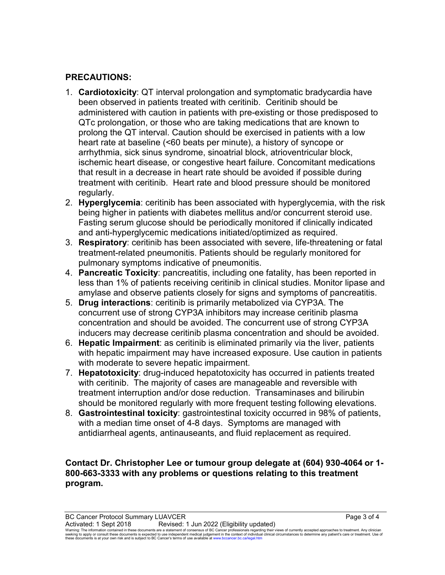### **PRECAUTIONS:**

- 1. **Cardiotoxicity**: QT interval prolongation and symptomatic bradycardia have been observed in patients treated with ceritinib. Ceritinib should be administered with caution in patients with pre-existing or those predisposed to QTc prolongation, or those who are taking medications that are known to prolong the QT interval. Caution should be exercised in patients with a low heart rate at baseline (<60 beats per minute), a history of syncope or arrhythmia, sick sinus syndrome, sinoatrial block, atrioventricular block, ischemic heart disease, or congestive heart failure. Concomitant medications that result in a decrease in heart rate should be avoided if possible during treatment with ceritinib. Heart rate and blood pressure should be monitored regularly.
- 2. **Hyperglycemia**: ceritinib has been associated with hyperglycemia, with the risk being higher in patients with diabetes mellitus and/or concurrent steroid use. Fasting serum glucose should be periodically monitored if clinically indicated and anti-hyperglycemic medications initiated/optimized as required.
- 3. **Respiratory**: ceritinib has been associated with severe, life-threatening or fatal treatment-related pneumonitis. Patients should be regularly monitored for pulmonary symptoms indicative of pneumonitis.
- 4. **Pancreatic Toxicity**: pancreatitis, including one fatality, has been reported in less than 1% of patients receiving ceritinib in clinical studies. Monitor lipase and amylase and observe patients closely for signs and symptoms of pancreatitis.
- 5. **Drug interactions**: ceritinib is primarily metabolized via CYP3A. The concurrent use of strong CYP3A inhibitors may increase ceritinib plasma concentration and should be avoided. The concurrent use of strong CYP3A inducers may decrease ceritinib plasma concentration and should be avoided.
- 6. **Hepatic Impairment**: as ceritinib is eliminated primarily via the liver, patients with hepatic impairment may have increased exposure. Use caution in patients with moderate to severe hepatic impairment.
- 7. **Hepatotoxicity**: drug-induced hepatotoxicity has occurred in patients treated with ceritinib. The majority of cases are manageable and reversible with treatment interruption and/or dose reduction. Transaminases and bilirubin should be monitored regularly with more frequent testing following elevations.
- 8. **Gastrointestinal toxicity**: gastrointestinal toxicity occurred in 98% of patients, with a median time onset of 4-8 days. Symptoms are managed with antidiarrheal agents, antinauseants, and fluid replacement as required.

#### **Contact Dr. Christopher Lee or tumour group delegate at (604) 930-4064 or 1- 800-663-3333 with any problems or questions relating to this treatment program.**